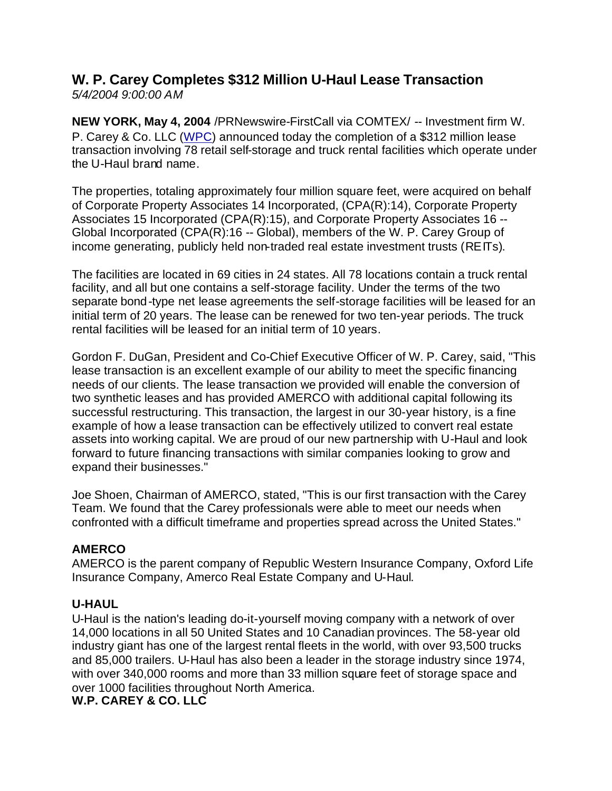## **W. P. Carey Completes \$312 Million U-Haul Lease Transaction** *5/4/2004 9:00:00 AM*

**NEW YORK, May 4, 2004** /PRNewswire-FirstCall via COMTEX/ -- Investment firm W. P. Carey & Co. LLC (WPC) announced today the completion of a \$312 million lease transaction involving 78 retail self-storage and truck rental facilities which operate under the U-Haul brand name.

The properties, totaling approximately four million square feet, were acquired on behalf of Corporate Property Associates 14 Incorporated, (CPA(R):14), Corporate Property Associates 15 Incorporated (CPA(R):15), and Corporate Property Associates 16 -- Global Incorporated (CPA(R):16 -- Global), members of the W. P. Carey Group of income generating, publicly held non-traded real estate investment trusts (REITs).

The facilities are located in 69 cities in 24 states. All 78 locations contain a truck rental facility, and all but one contains a self-storage facility. Under the terms of the two separate bond-type net lease agreements the self-storage facilities will be leased for an initial term of 20 years. The lease can be renewed for two ten-year periods. The truck rental facilities will be leased for an initial term of 10 years.

Gordon F. DuGan, President and Co-Chief Executive Officer of W. P. Carey, said, "This lease transaction is an excellent example of our ability to meet the specific financing needs of our clients. The lease transaction we provided will enable the conversion of two synthetic leases and has provided AMERCO with additional capital following its successful restructuring. This transaction, the largest in our 30-year history, is a fine example of how a lease transaction can be effectively utilized to convert real estate assets into working capital. We are proud of our new partnership with U-Haul and look forward to future financing transactions with similar companies looking to grow and expand their businesses."

Joe Shoen, Chairman of AMERCO, stated, "This is our first transaction with the Carey Team. We found that the Carey professionals were able to meet our needs when confronted with a difficult timeframe and properties spread across the United States."

## **AMERCO**

AMERCO is the parent company of Republic Western Insurance Company, Oxford Life Insurance Company, Amerco Real Estate Company and U-Haul.

## **U-HAUL**

U-Haul is the nation's leading do-it-yourself moving company with a network of over 14,000 locations in all 50 United States and 10 Canadian provinces. The 58-year old industry giant has one of the largest rental fleets in the world, with over 93,500 trucks and 85,000 trailers. U-Haul has also been a leader in the storage industry since 1974, with over 340,000 rooms and more than 33 million square feet of storage space and over 1000 facilities throughout North America.

**W.P. CAREY & CO. LLC**